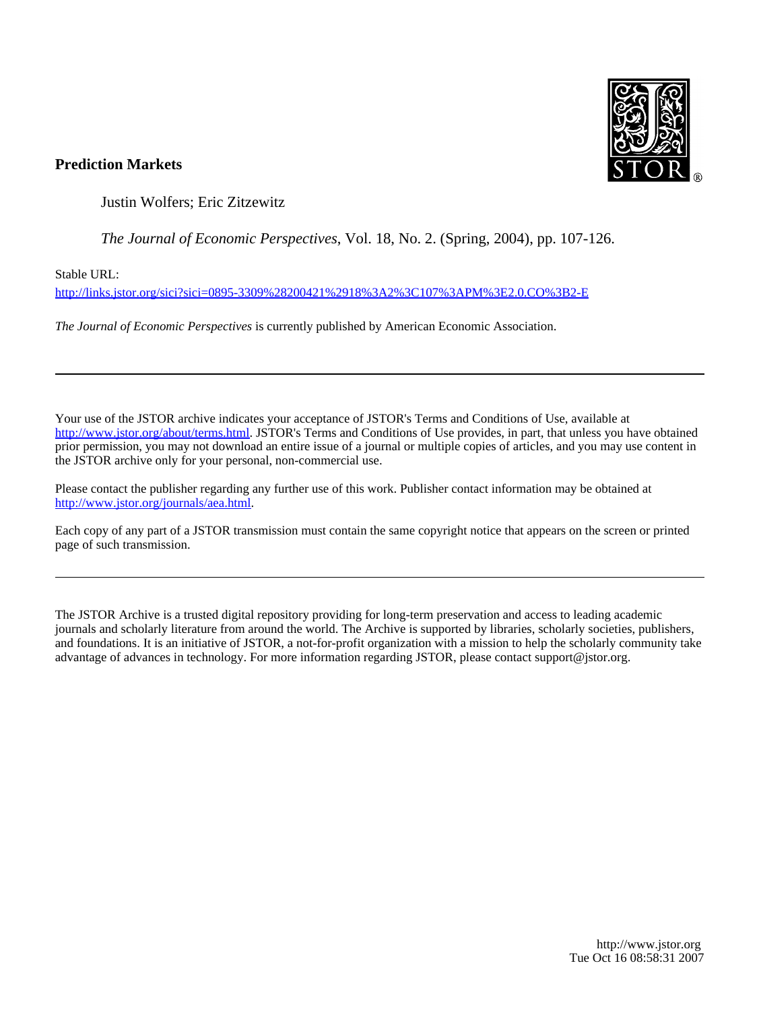

## **Prediction Markets**

Justin Wolfers; Eric Zitzewitz

*The Journal of Economic Perspectives*, Vol. 18, No. 2. (Spring, 2004), pp. 107-126.

Stable URL:

<http://links.jstor.org/sici?sici=0895-3309%28200421%2918%3A2%3C107%3APM%3E2.0.CO%3B2-E>

*The Journal of Economic Perspectives* is currently published by American Economic Association.

Your use of the JSTOR archive indicates your acceptance of JSTOR's Terms and Conditions of Use, available at [http://www.jstor.org/about/terms.html.](http://www.jstor.org/about/terms.html) JSTOR's Terms and Conditions of Use provides, in part, that unless you have obtained prior permission, you may not download an entire issue of a journal or multiple copies of articles, and you may use content in the JSTOR archive only for your personal, non-commercial use.

Please contact the publisher regarding any further use of this work. Publisher contact information may be obtained at [http://www.jstor.org/journals/aea.html.](http://www.jstor.org/journals/aea.html)

Each copy of any part of a JSTOR transmission must contain the same copyright notice that appears on the screen or printed page of such transmission.

The JSTOR Archive is a trusted digital repository providing for long-term preservation and access to leading academic journals and scholarly literature from around the world. The Archive is supported by libraries, scholarly societies, publishers, and foundations. It is an initiative of JSTOR, a not-for-profit organization with a mission to help the scholarly community take advantage of advances in technology. For more information regarding JSTOR, please contact support@jstor.org.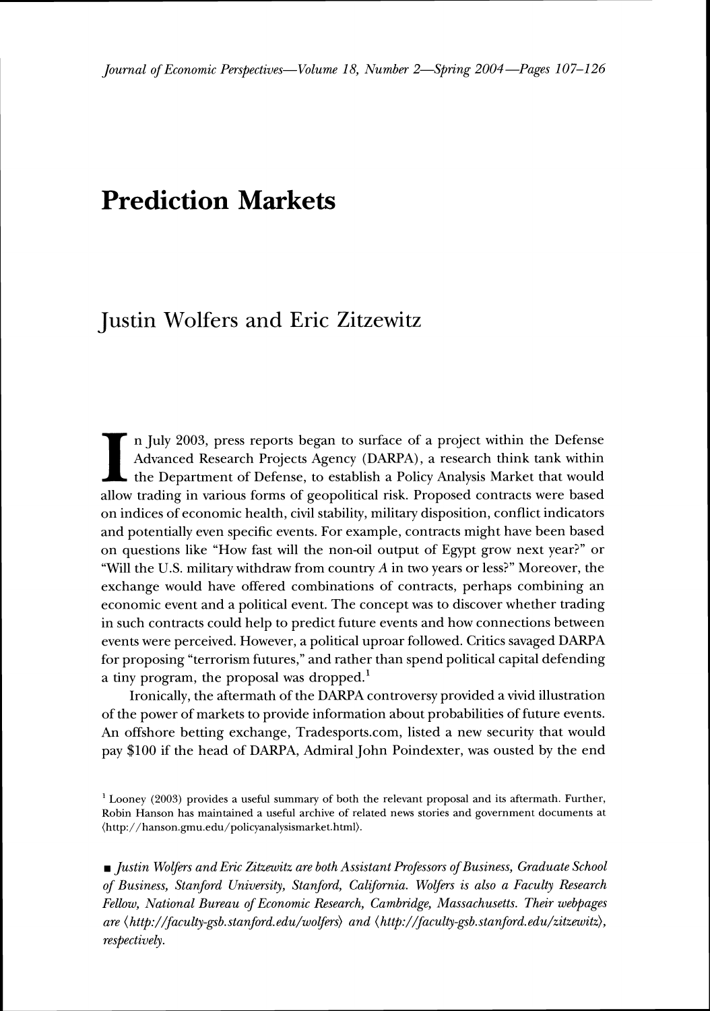# **Prediction Markets**

## Justin Wolfers and Eric Zitzewitz

n July 2003, press reports began to surface of a project within the Defense Advanced Research Projects Agency (DARPA), a research think tank within the Department of Defense, to establish a Policy Analysis Market that would allow trading in various forms of geopolitical risk. Proposed contracts were based on indices of economic health, civil stability, military disposition, conflict indicators and potentially even specific events. For example, contracts might have been based on questions like "How fast will the non-oil output of Egypt grow next year?" or "Will the U.S. military withdraw from country  $A$  in two years or less?" Moreover, the exchange would have offered combinations of contracts, perhaps combining an economic event and a political event. The concept was to discover whether trading in such contracts could help to predict future events and how connections between events were perceived. However, a political uproar followed. Critics savaged DARPA for proposing "terrorism futures," and rather than spend political capital defending a tiny program, the proposal was dropped.<sup>1</sup>

Ironically, the aftermath of the DARPA controversy provided a vivid illustration of the power of markets to provide information about probabilities of future events. An offshore betting exchange, Tradesports.com, listed a new security that would pay \$100 if the head of DARPA, Admiral John Poindexter, was ousted by the end

 $^1$  Looney (2003) provides a useful summary of both the relevant proposal and its aftermath. Further, Robin Hanson has maintained a useful archive of related news stories and government documents at **(http://hanson.gmu.edu/polic~analpismarket.html).** 

*Justin Wolfers and Eric Zitzauitz are both Assistant Professors of Business, Graduate School*  of Business, Stanford University, Stanford, California. Wolfers is also a Faculty Research Fellow, National Bureau of Economic Research, Cambridge, Massachusetts. Their webpages *are* **(http:/facultj-gsb.stnnford.edu/wolfes)** *and* **(http://faculty-gsb.stanford.edu/zitzauitz),**  *respectively.*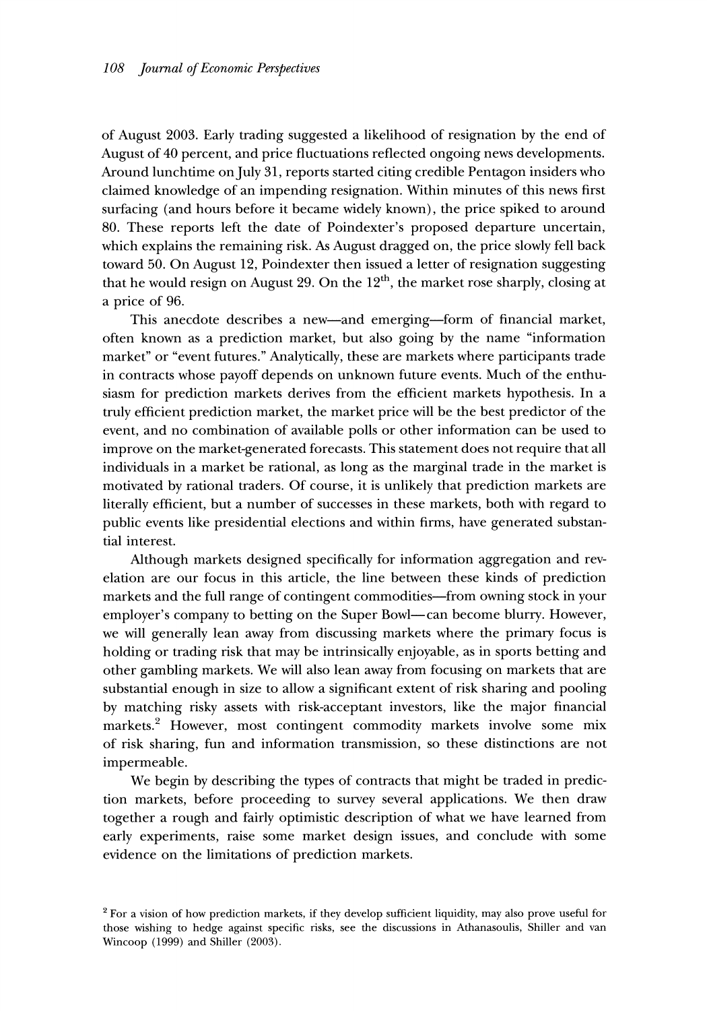of August 2003. Early trading suggested a likelihood of resignation by the end of August of 40 percent, and price fluctuations reflected ongoing news developments. Around lunchtime on July 31, reports started citing credible Pentagon insiders who claimed knowledge of an impending resignation. Within minutes of this news first surfacing (and hours before it became widely known), the price spiked to around 80. These reports left the date of Poindexter's proposed departure uncertain, which explains the remaining risk. As August dragged on, the price slowly fell back toward 50. On August 12, Poindexter then issued a letter of resignation suggesting that he would resign on August 29. On the  $12<sup>th</sup>$ , the market rose sharply, closing at a price of 96.

This anecdote describes a new-and emerging-form of financial market, often known as a prediction market, but also going by the name "information market" or "event futures." Analytically, these are markets where participants trade in contracts whose payoff depends on unknown future events. Much of the enthusiasm for prediction markets derives from the efficient markets hypothesis. In a truly efficient prediction market, the market price will be the best predictor of the event, and no combination of available polls or other information can be used to improve on the market-generated forecasts. This statement does not require that all individuals in a market be rational, as long as the marginal trade in the market is motivated by rational traders. Of course, it is unlikely that prediction markets are literally efficient, but a number of successes in these markets, both with regard to public events like presidential elections and within firms, have generated substantial interest.

Although markets designed specifically for information aggregation and revelation are our focus in this article, the line between these kinds of prediction markets and the full range of contingent commodities-from owning stock in your employer's company to betting on the Super Bowl—can become blurry. However, we will generally lean away from discussing markets where the primary focus is holding or trading risk that may be intrinsically enjoyable, as in sports betting and other gambling markets. We will also lean away from focusing on markets that are substantial enough in size to allow a significant extent of risk sharing and pooling by matching risky assets with risk-acceptant investors, like the major financial markets.<sup>2</sup> However, most contingent commodity markets involve some mix of risk sharing, fun and information transmission, so these distinctions are not impermeable.

We begin by describing the types of contracts that might be traded in prediction markets, before proceeding to survey several applications. We then draw together a rough and fairly optimistic description of what we have learned from early experiments, raise some market design issues, and conclude with some evidence on the limitations of prediction markets.

 $2^{\circ}$  For a vision of how prediction markets, if they develop sufficient liquidity, may also prove useful for those wishing to hedge against specific risks, see the discussions in Xthanasoulis, Shiller and ran Wincoop (1999) and Shiller (2003).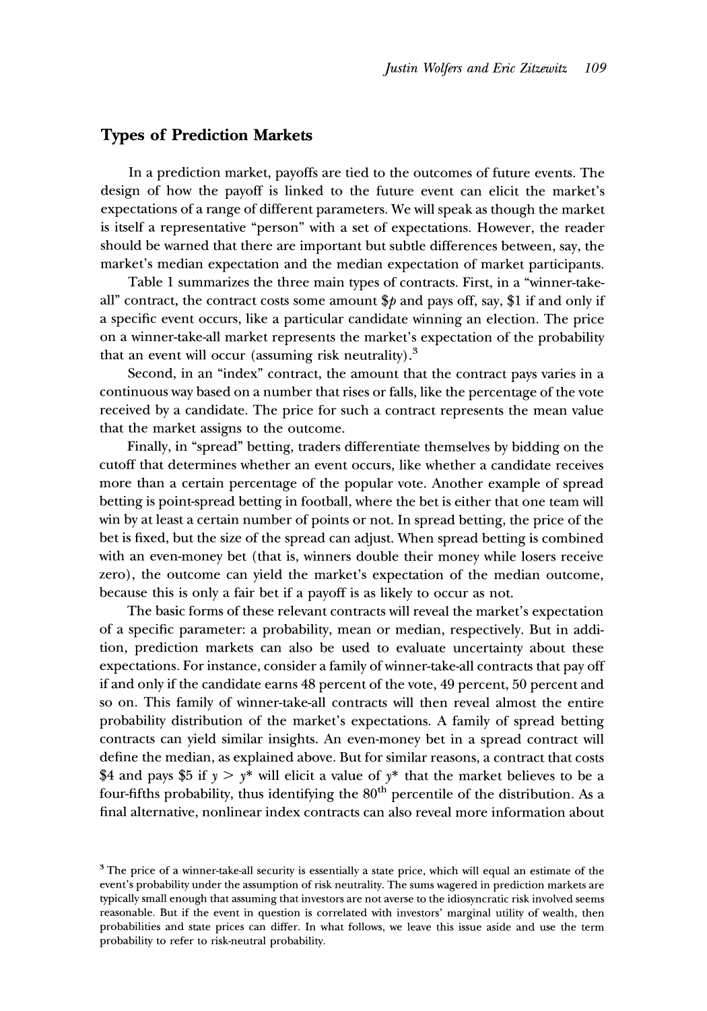## **Types of Prediction Markets**

In a prediction market, payoffs are tied to the outcomes of future events. The design of how the payoff is linked to the future event can elicit the market's expectations of a range of different parameters. We will speak as though the market is itself a representative "person" with a set of expectations. However, the reader should be warned that there are important but subtle differences between, say, the market's median expectation and the median expectation of market participants.

Table 1 summarizes the three main types of contracts. First, in a "winner-takeall" contract, the contract costs some amount *\$p* and pays off, say, \$1if and only if a specific event occurs, like a particular candidate winning an election. The price on a winner-take-all market represents the market's expectation of the probability that an event will occur (assuming risk neutrality). $<sup>3</sup>$ </sup>

Second, in an "index" contract, the amount that the contract pays varies in a continuous way based on a number that rises or falls, like the percentage of the vote received by a candidate. The price for such a contract represents the mean value that the market assigns to the outcome.

Finally, in "spread" betting, traders differentiate themselves by bidding on the cutoff that determines whether an event occurs, like whether a candidate receives more than a certain percentage of the popular vote. Another example of spread betting is point-spread betting in football, where the bet is either that one team will win by at least a certain number of points or not. In spread betting, the price of the bet is fixed, but the size of the spread can adjust. When spread betting is combined with an even-money bet (that is, winners double their money while losers receive zero), the outcome can yield the market's expectation of the median outcome, because this is only a fair bet if a payoff is as likely to occur as not.

The basic forms of these relevant contracts will reveal the market's expectation of a specific parameter: a probability, mean or median, respectively. But in addition, prediction markets can also be used to evaluate uncertainty about these expectations. For instance, consider a family of winner-take-all contracts that pay off if and only if the candidate earns 48 percent of the vote, 49 percent, 50 percent and so on. This family of winner-take-all contracts will then reveal almost the entire probability distribution of the market's expectations. A family of spread betting contracts can yield similar insights. An even-money bet in a spread contract will define the median, as explained above. But for similar reasons, a contract that costs \$4 and pays \$5 if  $y > y^*$  will elicit a value of  $y^*$  that the market believes to be a four-fifths probability, thus identifying the 80<sup>th</sup> percentile of the distribution. As a final alternative, nonlinear index contracts can also reveal more information about

 $3$  The price of a winner-take-all security is essentially a state price, which will equal an estimate of the event's probability under the assumption of risk neutrality. The sums wagered in prediction markets are typically small enough that assuming that investors are not averse to the idiosyncratic risk involved seems reasonable. But if the event in question is correlated with investors' marginal utility of wealth, then probabilities and state prices can differ. In what follows, we leave this issue aside and use the term probability to refer to risk-neutral probability.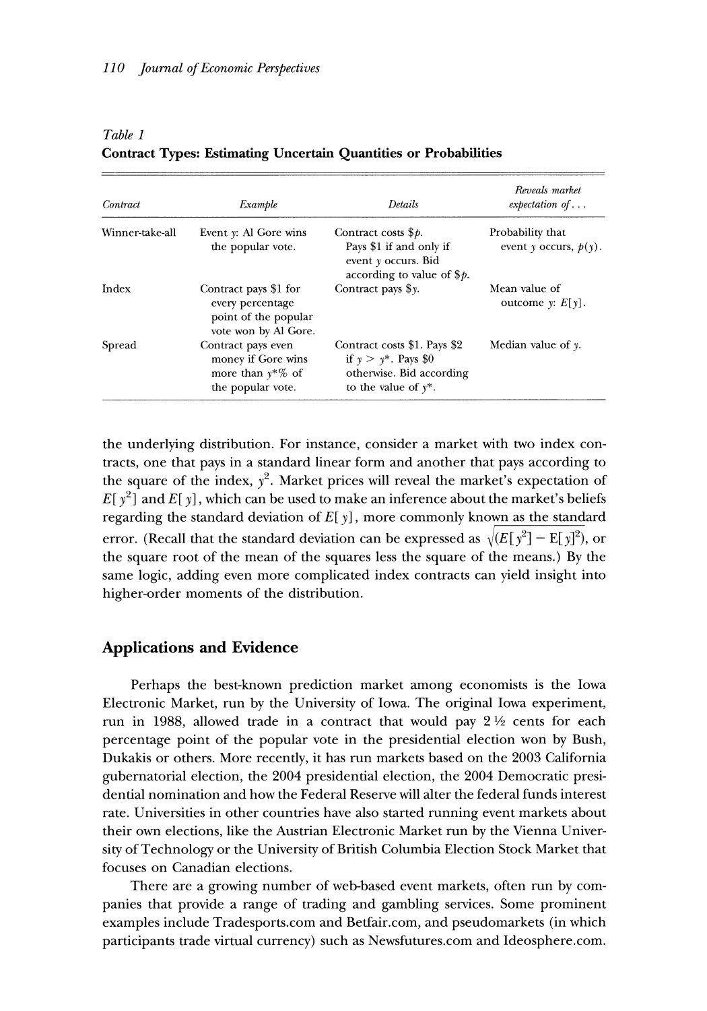| Contract        | Example                                                                                   | Details                                                                                                        | Reveals market<br>$expectation of \ldots$    |
|-----------------|-------------------------------------------------------------------------------------------|----------------------------------------------------------------------------------------------------------------|----------------------------------------------|
| Winner-take-all | Event y: Al Gore wins<br>the popular vote.                                                | Contract costs $$p$ .<br>Pays \$1 if and only if<br>event y occurs. Bid<br>according to value of $$p$ .        | Probability that<br>event y occurs, $p(y)$ . |
| Index           | Contract pays \$1 for<br>every percentage<br>point of the popular<br>vote won by Al Gore. | Contract pays $\gamma$ .                                                                                       | Mean value of<br>outcome y: $E[y]$ .         |
| Spread          | Contract pays even<br>money if Gore wins<br>more than $y^*\%$ of<br>the popular vote.     | Contract costs \$1. Pays \$2<br>if $y > y^*$ . Pays \$0<br>otherwise. Bid according<br>to the value of $y^*$ . | Median value of $\nu$ .                      |

## *Table 1*  **Contract Types: Estimating Uncertain Quantities or Probabilities**

the underlying distribution. For instance, consider a market with two index contracts, one that pays in a standard linear form and another that pays according to the square of the index,  $y^2$ . Market prices will reveal the market's expectation of  $E[y^2]$  and  $E[y]$ , which can be used to make an inference about the market's beliefs regarding the standard deviation of  $E[y]$ , more commonly known as the standard error. (Recall that the standard deviation can be expressed as  $\sqrt{(E[y^2] - E[y]^2)}$ , or the square root of the mean of the squares less the square of the means.) By the same logic, adding even more complicated index contracts can yield insight into higher-order moments of the distribution.

## **Applications and Evidence**

Perhaps the best-known prediction market among economists is the Iowa Electronic Market, run by the University of Iowa. The original Iowa experiment, run in 1988, allowed trade in a contract that would pay  $2\frac{1}{2}$  cents for each percentage point of the popular vote in the presidential election won by Bush, Dukakis or others. More recently, it has run markets based on the 2003 California gubernatorial election, the 2004 presidential election, the 2004 Democratic presidential nomination and how the Federal Reserve will alter the federal funds interest rate. Universities in other countries have also started running event markets about their own elections, like the Austrian Electronic Market run by the Vienna University of Technology or the University of British Columbia Election Stock Market that focuses on Canadian elections.

There are a growing number of web-based event markets, often run by companies that provide a range of trading and gambling services. Some prominent examples include Tradesports.com and Betfair.com, and pseudomarkets (in which participants trade virtual currency) such as Newsfutures.com and 1deosphere.com.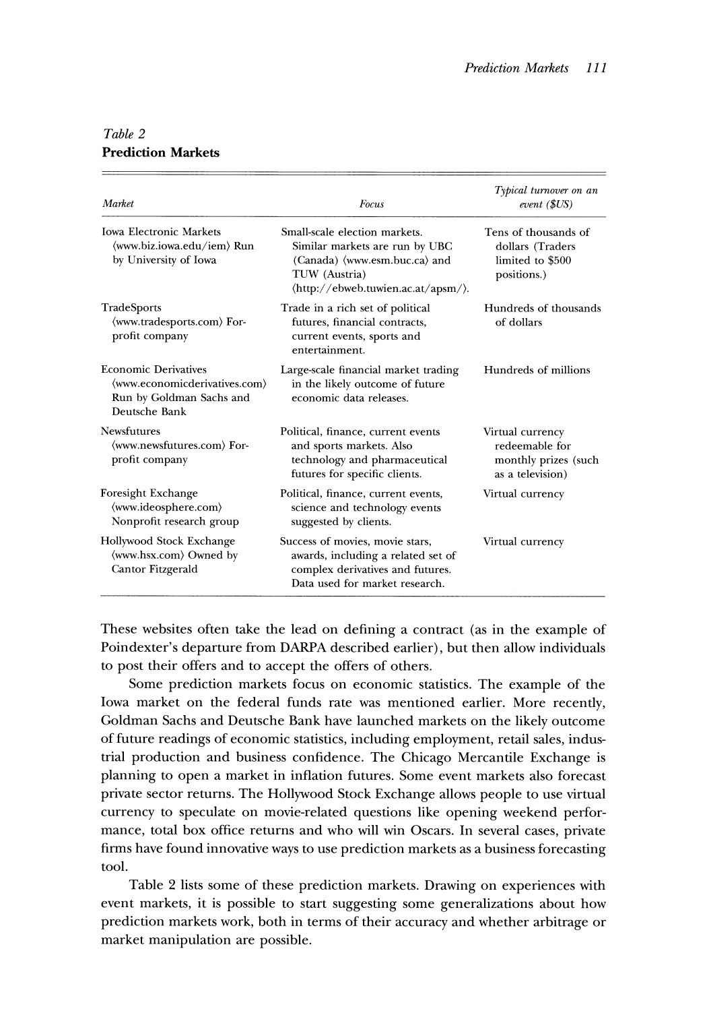## *Table 2*  **Prediction Markets**

| Market                                                                                                    | Focus                                                                                                                                                                      | Typical turnover on an<br>event $(\$US)$                                       |
|-----------------------------------------------------------------------------------------------------------|----------------------------------------------------------------------------------------------------------------------------------------------------------------------------|--------------------------------------------------------------------------------|
| <b>Iowa Electronic Markets</b><br>(www.biz.iowa.edu/iem) Run<br>by University of Iowa                     | Small-scale election markets.<br>Similar markets are run by UBC<br>(Canada) (www.esm.buc.ca) and<br>TUW (Austria)<br>$\langle$ http://ebweb.tuwien.ac.at/apsm/ $\rangle$ . | Tens of thousands of<br>dollars (Traders<br>limited to \$500<br>positions.)    |
| TradeSports<br>(www.tradesports.com) For-<br>profit company                                               | Trade in a rich set of political<br>futures, financial contracts,<br>current events, sports and<br>entertainment.                                                          | Hundreds of thousands<br>of dollars                                            |
| <b>Economic Derivatives</b><br>(www.economicderivatives.com)<br>Run by Goldman Sachs and<br>Deutsche Bank | Large-scale financial market trading<br>in the likely outcome of future<br>economic data releases.                                                                         | Hundreds of millions                                                           |
| Newsfutures<br>(www.newsfutures.com) For-<br>profit company                                               | Political, finance, current events<br>and sports markets. Also<br>technology and pharmaceutical<br>futures for specific clients.                                           | Virtual currency<br>redeemable for<br>monthly prizes (such<br>as a television) |
| Foresight Exchange<br>(www.ideosphere.com)<br>Nonprofit research group                                    | Political, finance, current events,<br>science and technology events<br>suggested by clients.                                                                              | Virtual currency                                                               |
| Hollywood Stock Exchange<br>(www.hsx.com) Owned by<br>Cantor Fitzgerald                                   | Success of movies, movie stars,<br>awards, including a related set of<br>complex derivatives and futures.<br>Data used for market research.                                | Virtual currency                                                               |

These websites often take the lead on defining a contract (as in the example of Poindexter's departure from DARPA described earlier), but then allow individuals to post their offers and to accept the offers of others.

Some prediction markets focus on economic statistics. The example of the Iowa market on the federal funds rate was mentioned earlier. More recently, Goldman Sachs and Deutsche Bank have launched markets on the likely outcome of future readings of economic statistics, including employment, retail sales, industrial production and business confidence. The Chicago Mercantile Exchange is planning to open a market in inflation futures. Some event markets also forecast private sector returns. The Hollywood Stock Exchange allows people to use virtual currency to speculate on movie-related questions like opening weekend performance, total box office returns and who will win Oscars. In several cases, private firms have found innovative ways to use prediction markets as a business forecasting tool.

Table 2 lists some of these prediction markets. Drawing on experiences with event markets, it is possible to start suggesting some generalizations about how prediction markets work, both in terms of their accuracy and whether arbitrage or market manipulation are possible.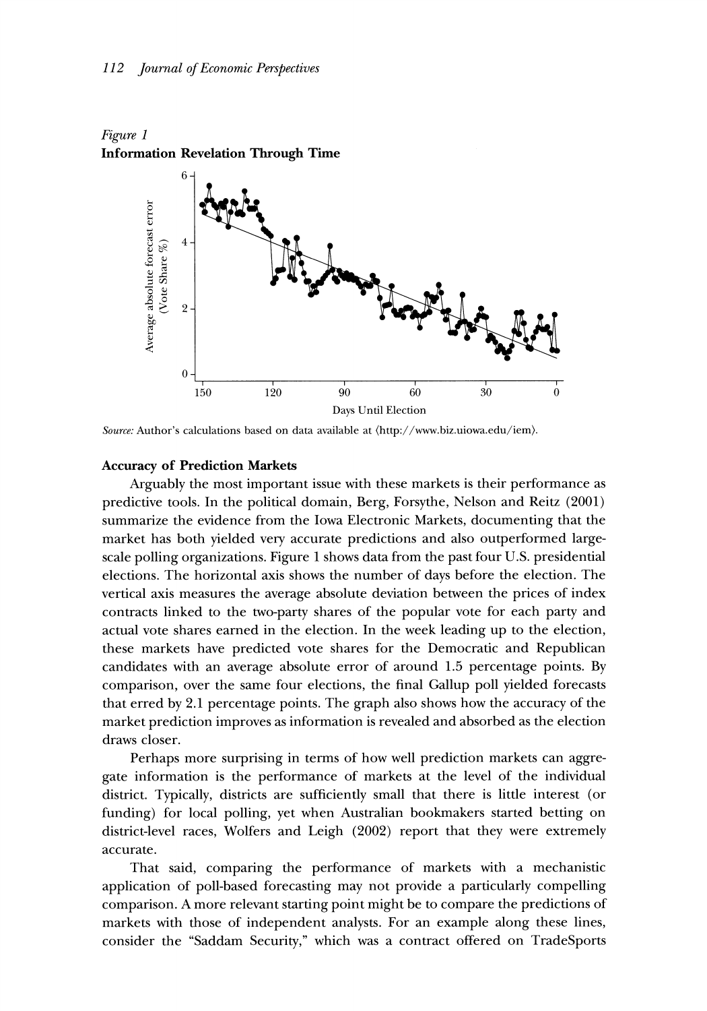

*Figure 1*  **Information Revelation Through Time** 

Source: Author's calculations based on data available at  $\langle$ http://www.biz.uiowa.edu/iem).

#### **Accuracy of Prediction Markets**

Arguably the most important issue with these markets is their performance as predictive tools. In the political domain, Berg, Forsythe, Nelson and Reitz (2001) summarize the evidence from the Iowa Electronic Markets, documenting that the market has both yielded very accurate predictions and also outperformed largescale polling organizations. Figure 1shows data from the past four U.S. presidential elections. The horizontal axis shows the number of days before the election. The vertical axis measures the average absolute deviation between the prices of index contracts linked to the two-party shares of the popular vote for each party and actual vote shares earned in the election. In the week leading up to the election, these markets have predicted vote shares for the Democratic and Republican candidates with an average absolute error of around 1.5 percentage points. By comparison, over the same four elections, the final Gallup poll yielded forecasts that erred by 2.1 percentage points. The graph also shows how the accuracy of the market prediction improves as information is revealed and absorbed as the election draws closer.

Perhaps more surprising in terms of how well prediction markets can aggregate information is the performance of markets at the level of the individual district. Typically, districts are sufficiently small that there is little interest (or funding) for local polling, yet when Australian bookmakers started betting on district-level races, Wolfers and Leigh (2002) report that they were extremely accurate.

That said, comparing the performance of markets with a mechanistic application of poll-based forecasting may not provide a particularly compelling comparison. A more relevant starting point might be to compare the predictions of markets with those of independent analysts. For an example along these lines, consider the "Saddam Security," which was a contract offered on Tradesports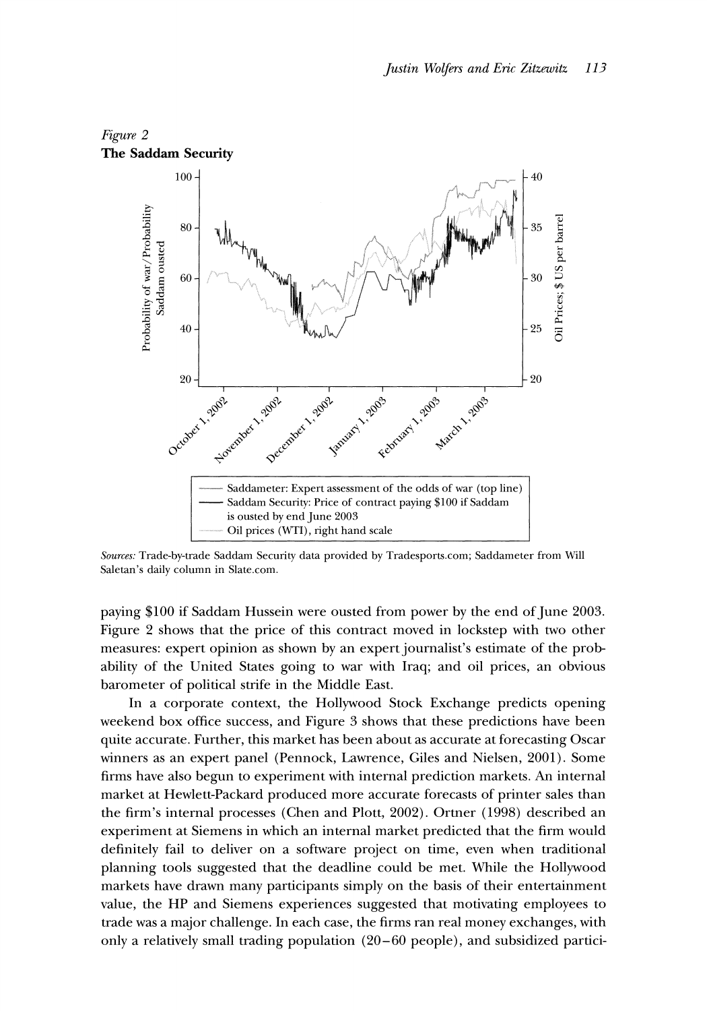

Sources: Trade-by-trade Saddam Security data provided by Tradesports.com; Saddameter from Will Saletan's daily column in Slate.com.

paying \$100 if Saddam Hussein were ousted from power by the end of June 2003. Figure 2 shows that the price of this contract moved in lockstep with two other measures: expert opinion as shown by an expert journalist's estimate of the probability of the United States going to war with Iraq; and oil prices, an obvious barometer of political strife in the Middle East.

In a corporate context, the Hollywood Stock Exchange predicts opening weekend box office success, and Figure 3 shows that these predictions have been quite accurate. Further, this market has been about as accurate at forecasting Oscar winners as an expert panel (Pennock, Lawrence, Giles and Nielsen, 2001). Some firms have also begun to experiment with internal prediction markets. An internal market at Hewlett-Packard produced more accurate forecasts of printer sales than the firm's internal processes (Chen and Plott, 2002). Ortner (1998) described an experiment at Siemens in which an internal market predicted that the firm would definitely fail to deliver on a software project on time, even when traditional planning tools suggested that the deadline could be met. M'hile the Hollywood markets have drawn many participants simply on the basis of their entertainment value, the HP and Siemens experiences suggested that motivating employees to trade was a major challenge. In each case, the firms ran real money exchanges, with only a relatively small trading population  $(20-60$  people), and subsidized partici-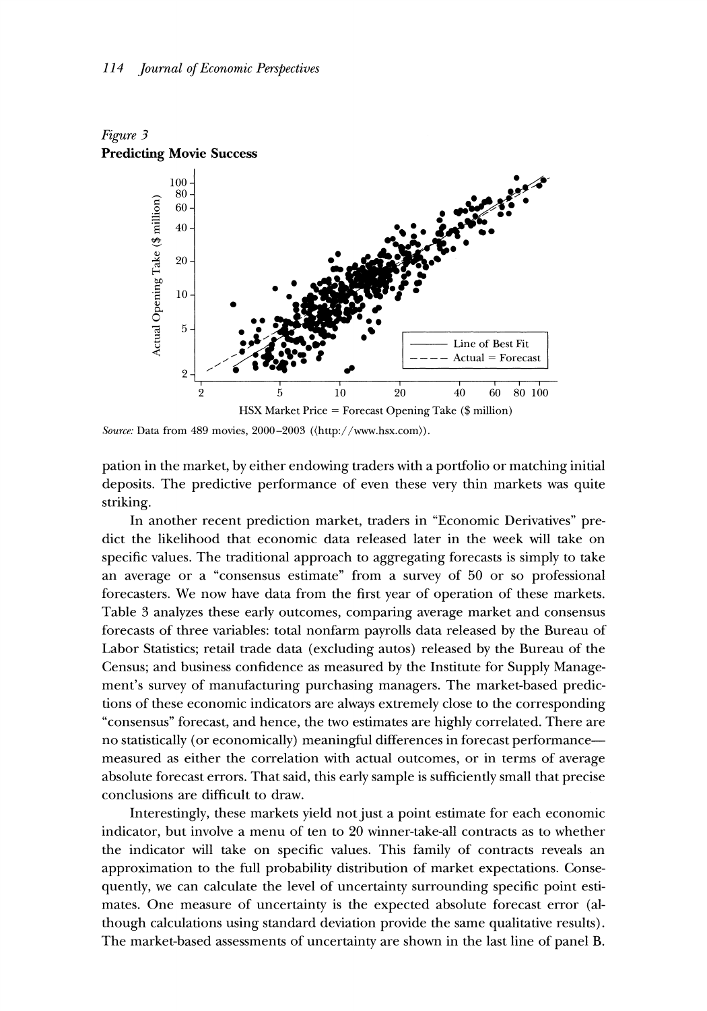



*Source*: Data from 489 movies, 2000-2003 ((http://www.hsx.com)).

pation in the market, by either endowing traders with a portfolio or matching initial deposits. The predictive performance of even these very thin markets was quite striking.

In another recent prediction market, traders in "Economic Derivatives" predict the likelihood that economic data released later in the week will take on specific values. The traditional approach to aggregating forecasts is simply to take an average or a "consensus estimate" from a survey of 50 or so professional forecasters. We now have data from the first year of operation of these markets. Table **3** analyzes these early outcomes, comparing average market and consensus forecasts of three variables: total nonfarm payrolls data released by the Bureau of Labor Statistics; retail trade data (excluding autos) released by the Bureau of the Census; and business confidence as measured by the Institute for Supply Management's sunrey of manufacturing purchasing managers. The market-based predictions of these economic indicators are always extremely close to the corresponding "consensus" forecast, and hence, the two estimates are highly correlated. There are no statistically (or economically) meaningful differences in forecast performancemeasured as either the correlation with actual outcomes, or in terms of average absolute forecast errors. That said, this early sample is sufficiently small that precise conclusions are difficult to draw.

Interestingly, these markets yield not just a point estimate for each economic indicator, but involve a menu of ten to 20 winner-take-all contracts as to whether the indicator will take on specific values. This family of contracts reveals an approximation to the full probability distribution of market expectations. Consequently, we can calculate the level of uncertainty surrounding specific point estimates. One measure of uncertainty is the expected absolute forecast error (although calculations using standard deviation provide the same qualitative results). The market-based assessments of uncertainty are shown in the last line of panel B.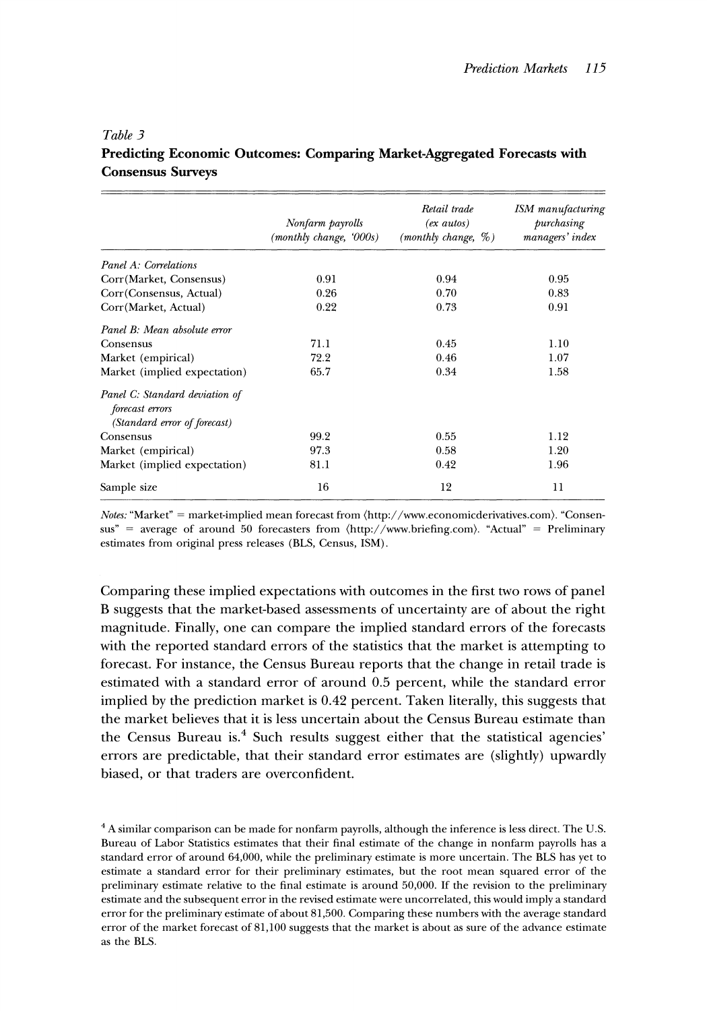1.96

11

|                                                                                   | Nonfarm payrolls<br>(monthly change, '000s) | Retail trade<br>$(ex\, autos)$<br>(monthly change, $\%$ ) | ISM manufacturing<br>purchasing<br>$managers\prime\ index$ |
|-----------------------------------------------------------------------------------|---------------------------------------------|-----------------------------------------------------------|------------------------------------------------------------|
| Panel A: Correlations                                                             |                                             |                                                           |                                                            |
| Corr(Market, Consensus)                                                           | 0.91                                        | 0.94                                                      | 0.95                                                       |
| Corr (Consensus, Actual)                                                          | 0.26                                        | 0.70                                                      | 0.83                                                       |
| Corr(Market, Actual)                                                              | 0.22                                        | 0.73                                                      | 0.91                                                       |
| Panel B: Mean absolute error                                                      |                                             |                                                           |                                                            |
| Consensus                                                                         | 71.1                                        | 0.45                                                      | 1.10                                                       |
| Market (empirical)                                                                | 72.2                                        | 0.46                                                      | 1.07                                                       |
| Market (implied expectation)                                                      | 65.7                                        | 0.34                                                      | 1.58                                                       |
| Panel C: Standard deviation of<br>forecast errors<br>(Standard error of forecast) |                                             |                                                           |                                                            |
| Consensus                                                                         | 99.2                                        | 0.55                                                      | 1.12                                                       |
| Market (empirical)                                                                | 97.3                                        | 0.58                                                      | 1.20                                                       |

## *Table* **3 Predicting Economic Outcomes: Comparing Market-Aggregated Forecasts with Consensus Surveys**

*Notes:* "Market" = market-implied mean forecast from  $\langle$ http://www.economicderivatives.com). "Consensus" = average of around 50 forecasters from  $\langle$ http://www.briefing.com $\rangle$ . "Actual" = Preliminary estimates from original press releases (BLS, Census, ISM).

0.42

12

81.1

16

Market (implied expectation)

Sample size

Comparing these implied expectations with outcomes in the first two rows of panel B suggests that the market-based assessments of uncertainty are of about the right magnitude. Finally, one can compare the implied standard errors of the forecasts with the reported standard errors of the statistics that the market is attempting to forecast. For instance, the Census Bureau reports that the change in retail trade is estimated with a standard error of around 0.5 percent, while the standard error implied by the prediction market is 0.42 percent. Taken literally, this suggests that the market believes that it is less uncertain about the Census Bureau estimate than the Census Bureau is. $4$  Such results suggest either that the statistical agencies' errors are predictable, that their standard error estimates are (slightly) upwardly biased, or that traders are overconfident.

<sup>4</sup> A similar comparison can be made for nonfarm payrolls, although the inference is less direct. The U.S. Bureau of Labor Statistics estimates that their final estimate of the change in nonfarm payrolls has a standard error of around 64,000, while the preliminary estimate is more uncertain. The BLS has yet to estimate a standard error for their preliminary estimates, but the root mean squared error of the preliminary estimate relative to the final estimate is around 50,000. If the revision to the preliminary estimate and the subsequent error in the revised estimate were uncorrelated, this would imply a standard error for the preliminary estimate of about 81,500. Comparing these numbers with the average standard error of the market forecast of 81,100 suggests that the market is about as sure of the advance estimate as the BLS.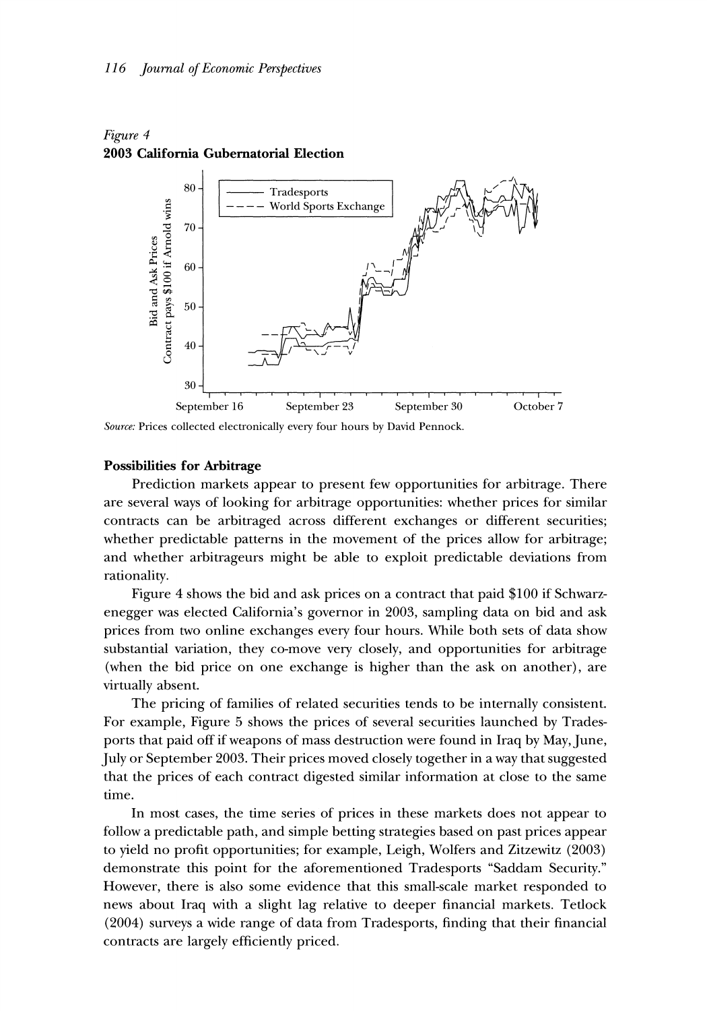

*Figure 4*  **2003 California Gubernatorial Election** 

Source: Prices collected electronically every four hours by David Pennock.

#### **Possibilities for Arbitrage**

Prediction markets appear to present few opportunities for arbitrage. There are several ways of looking for arbitrage opportunities: whether prices for similar contracts can be arbitraged across different exchanges or different securities; whether predictable patterns in the movement of the prices allow for arbitrage; and whether arbitrageurs might be able to exploit predictable deviations from rationality.

Figure 4 shows the bid and ask prices on a contract that paid \$100 if Schwarzenegger was elected California's governor in 2003, sampling data on bid and ask prices from two online exchanges every four hours. M'hile both sets of data show substantial variation, they co-move very closely, and opportunities for arbitrage (when the bid price on one exchange is higher than the ask on another), are virtually absent.

The pricing of families of related securities tends to be internally consistent. For example, Figure *5* shows the prices of several securities launched by Tradesports that paid off if weapons of mass destruction were found in Iraq by May, June, July or September 2003. Their prices moved closely together in a way that suggested that the prices of each contract digested similar information at close to the same time.

In most cases, the time series of prices in these markets does not appear to follow a predictable path, and simple betting strategies based on past prices appear to yield no profit opportunities; for example, Leigh, Wolfers and Zitzewitz (2003) demonstrate this point for the aforementioned Tradesports "Saddam Security." However, there is also some evidence that this small-scale market responded to news about Iraq with a slight lag relati\e to deeper financial markets. Tetlock (2004) surveys a wide range of data from Tradesports, finding that their financial contracts are largely efficiently priced.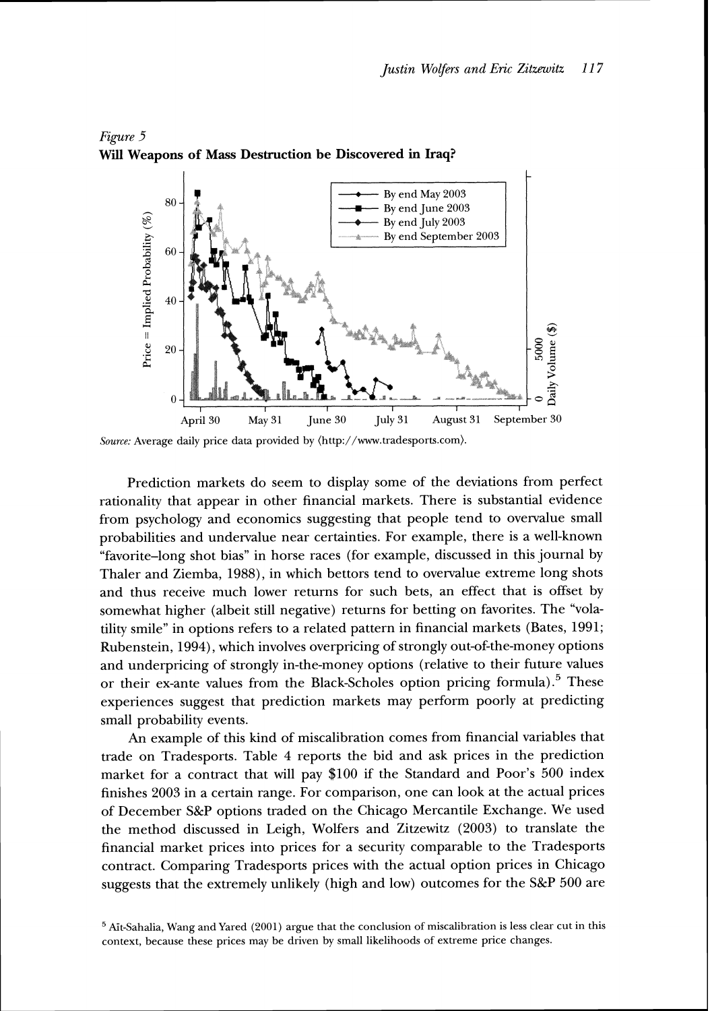

*Figure 5*  **Will Weapons of Mass Destruction be Discovered in Iraq?** 

Prediction markets do seem to display some of the deviations from perfect rationality that appear in other financial markets. There is substantial evidence from psychology and economics suggesting that people tend to overvalue small probabilities and undervalue near certainties. For example, there is a well-known "favorite-long shot bias" in horse races (for example, discussed in this journal by Thaler and Ziemba, 1988), in which bettors tend to overvalue extreme long shots and thus receive much lower returns for such bets, an effect that is offset by somewhat higher (albeit still negative) returns for betting on favorites. The "volatility smile" in options refers to a related pattern in financial markets (Bates, 1991; Rubenstein, 1994), which involves overpricing of strongly out-of-the-money options and underpricing of strongly in-the-money options (relative to their future values or their ex-ante values from the Black-Scholes option pricing formula).<sup>5</sup> These experiences suggest that prediction markets may perform poorly at predicting small probability events.

An example of this kind of miscalibration comes from financial variables that trade on Tradesports. Table 4 reports the bid and ask prices in the prediction market for a contract that will pay \$100 if the Standard and Poor's 500 index finishes 2003 in a certain range. For comparison, one can look at the actual prices of December S&P options traded on the Chicago Mercantile Exchange. We used the method discussed in Leigh, Wolfers and Zitzewitz (2003) to translate the financial market prices into prices for a security comparable to the Tradesports contract. Comparing Tradesports prices with the actual option prices in Chicago suggests that the extremely unlikely (high and low) outcomes for the S&P 500 are

 $<sup>5</sup>$  Ait-Sahalia, Wang and Yared (2001) argue that the conclusion of miscalibration is less clear cut in this</sup> context, because these prices may be driven by small likelihoods of extreme price changes.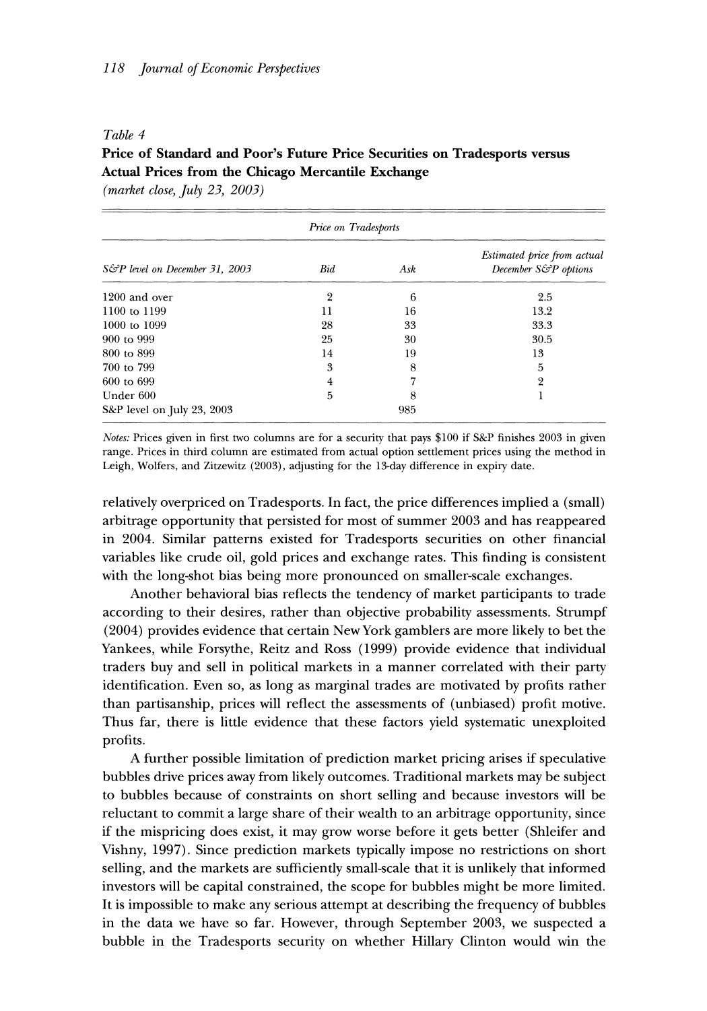#### *Table 4*

## **Price of Standard and Poor's Future Price Securities on Tradesports versus Actual Prices from the Chicago Mercantile Exchange**

*(mark~t close, Julj 23, 2003)* 

| Price on Tradesports           |     |     |                                                     |  |
|--------------------------------|-----|-----|-----------------------------------------------------|--|
| S&P level on December 31, 2003 | Bid | Ask | Estimated price from actual<br>December S&P options |  |
| 1200 and over                  | 2   | 6   | 2.5                                                 |  |
| 1100 to 1199                   | 11  | 16  | 13.2                                                |  |
| 1000 to 1099                   | 28  | 33  | 33.3                                                |  |
| 900 to 999                     | 25  | 30  | 30.5                                                |  |
| 800 to 899                     | 14  | 19  | 13                                                  |  |
| 700 to 799                     | 3   | 8   | 5                                                   |  |
| 600 to 699                     | 4   | 7   | 2                                                   |  |
| Under 600                      | 5   | 8   |                                                     |  |
| S&P level on July 23, 2003     |     | 985 |                                                     |  |

*Notes:* Prices given in first two columns are for a security that pays \$100 if S&P finishes 2003 in given range. Prices in third column are estimated from actual option settlement prices using the method in Leigh, Wolfers, and Zitzewitz (2003), adjusting for the 13-day difference in expiry date.

relatively overpriced on Tradesports. In fact, the price differences implied a (small) arbitrage opportunity that persisted for most of summer 2003 and has reappeared in 2004. Similar patterns existed for Tradesports securities on other financial variables like crude oil, gold prices and exchange rates. This finding is consistent with the long-shot bias being more pronounced on smaller-scale exchanges.

Another behavioral bias reflects the tendency of market participants to trade according to their desires, rather than objective probability assessments. Strumpf (2004) provides evidence that certain New York gamblers are more likely to bet the Yankees, while Forsythe, Reitz and Ross (1999) provide evidence that individual traders buy and sell in political markets in a manner correlated with their party identification. Even so, as long as marginal trades are motivated by profits rather than partisanship, prices will reflect the assessments of (unbiased) profit motive. Thus far, there is little evidence that these factors yield systematic unexploited profits.

A further possible limitation of prediction market pricing arises if speculative bubbles drive prices away from likely outcomes. Traditional markets may be subject to bubbles because of constraints on short selling and because investors will be reluctant to commit a large share of their wealth to an arbitrage opportunity, since if the mispricing does exist, it may grow worse before it gets better (Shleifer and Vishny, 1997). Since prediction markets typically impose no restrictions on short selling, and the markets are sufficiently small-scale that it is unlikely that informed investors will be capital constrained, the scope for bubbles might be more limited. It is impossible to make any serious attempt at describing the frequency of bubbles in the data we have so far. However, through September 2003, we suspected a bubble in the Tradesports security on whether Hillary Clinton would win the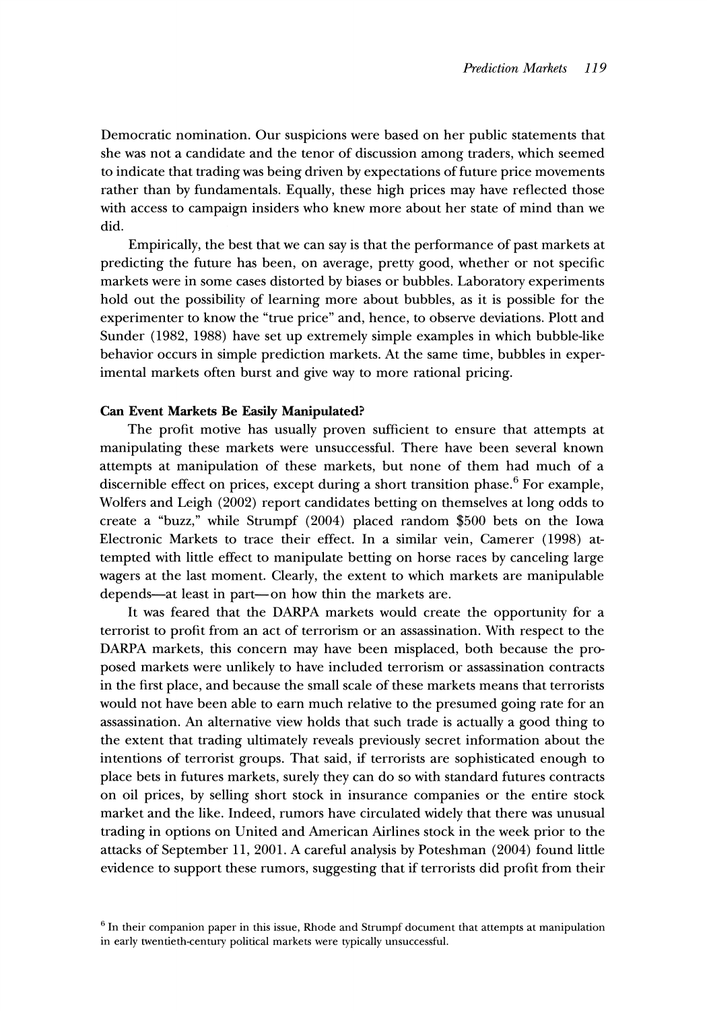Democratic nomination. Our suspicions were based on her public statements that she was not a candidate and the tenor of discussion among traders, which seemed to indicate that trading was being driven by expectations of future price movements rather than by fundamentals. Equally, these high prices may have reflected those with access to campaign insiders who knew more about her state of mind than we did.

Empirically, the best that we can say is that the performance of past markets at predicting the future has been, on average, pretty good, whether or not specific markets were in some cases distorted by biases or bubbles. Laboratory experiments hold out the possibility of learning more about bubbles, as it is possible for the experimenter to know the "true price" and, hence, to observe deviations. Plott and Sunder (1982, 1988) have set up extremely simple examples in which bubble-like behavior occurs in simple prediction markets. At the same time, bubbles in experimental markets often burst and give way to more rational pricing.

#### **Can Event Markets Be Easily Manipulated?**

The profit motive has usually proven sufficient to ensure that attempts at manipulating these markets were unsuccessful. There have been several known attempts at manipulation of these markets, but none of them had much of a discernible effect on prices, except during a short transition phase.<sup>6</sup> For example, Wolfers and Leigh (2002) report candidates betting on themselves at long odds to create a "buzz," while Strumpf (2004) placed random \$500 bets on the Iowa Electronic Markets to trace their effect. In a similar vein, Camerer (1998) attempted with little effect to manipulate betting on horse races by canceling large wagers at the last moment. Clearly, the extent to which markets are manipulable depends-at least in part-on how thin the markets are.

It was feared that the DARPA markets would create the opportunity for a terrorist to profit from an act of terrorism or an assassination. With respect to the DARPA markets, this concern may have been misplaced, both because the proposed markets were unlikely to have included terrorism or assassination contracts in the first place, and because the small scale of these markets means that terrorists would not have been able to earn much relative to the presumed going rate for an assassination. An alternative view holds that such trade is actually a good thing to the extent that trading ultimately reveals previously secret information about the intentions of terrorist groups. That said, if terrorists are sophisticated enough to place bets in futures markets, surely they can do so with standard futures contracts on oil prices, by selling short stock in insurance companies or the entire stock market and the like. Indeed, rumors have circulated widely that there was unusual trading in options on United and American Airlines stock in the week prior to the attacks of September 11, 2001. A careful analysis by Poteshman (2004) found little evidence to support these rumors, suggesting that if terrorists did profit from their

 $6$  In their companion paper in this issue, Rhode and Strumpf document that attempts at manipulation in early twentieth-century political markets were typically unsuccessful.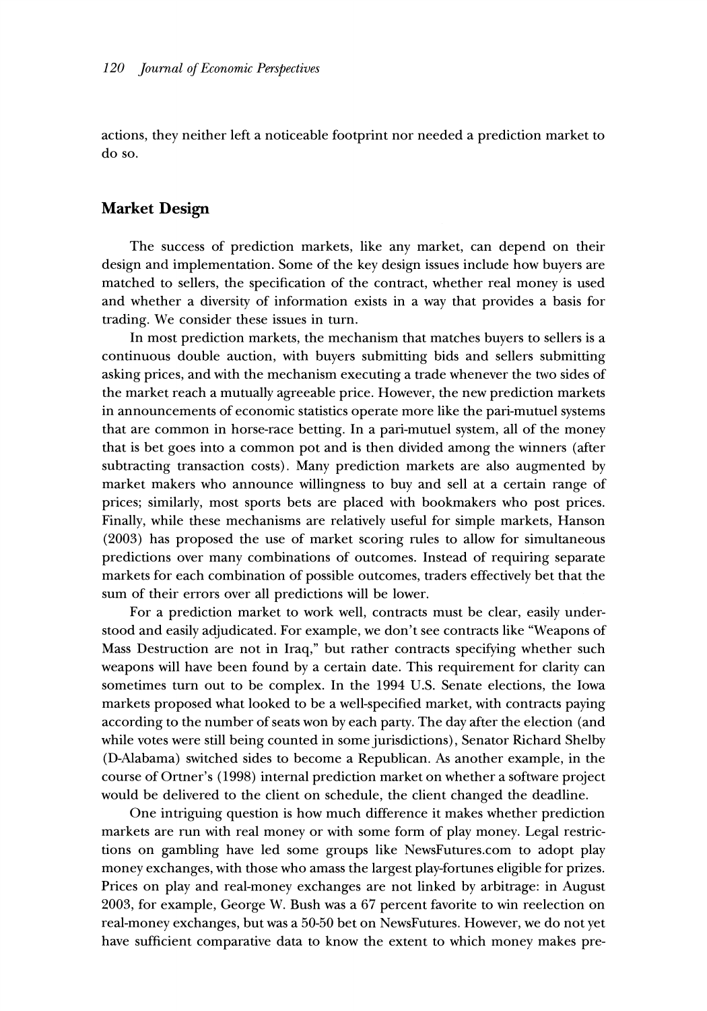actions, they neither left a noticeable footprint nor needed a prediction market to do so.

### **Market Design**

The success of prediction markets, like any market, can depend on their design and implementation. Some of the key design issues include how buyers are matched to sellers, the specification of the contract, whether real money is used and whether a diversity of information exists in a way that provides a basis for trading. We consider these issues in turn.

In most prediction markets, the mechanism that matches buyers to sellers is a continuous double auction, with buyers submitting bids and sellers submitting asking prices, and with the mechanism executing a trade whenever the two sides of the market reach a mutually agreeable price. However, the new prediction markets in announcements of economic statistics operate more like the pari-mutuel systems that are common in horse-race betting. In a pari-mutuel system, all of the money that is bet goes into a common pot and is then divided among the winners (after subtracting transaction costs). Many prediction markets are also augmented by market makers who announce willingness to buy and sell at a certain range of prices; similarly, most sports bets are placed with bookmakers who post prices. Finally, while these mechanisms are relatively useful for simple markets, Hanson (2003) has proposed the use of market scoring rules to allow for simultaneous predictions over many combinations of outcomes. Instead of requiring separate markets for each combination of possible outcomes, traders effectively bet that the sum of their errors over all predictions will be lower.

For a prediction market to work well, contracts must be clear, easily understood and easily adjudicated. For example, we don't see contracts like "Weapons of Mass Destruction are not in Iraq," but rather contracts specifying whether such weapons will have been found by a certain date. This requirement for clarity can sometimes turn out to be complex. In the 1994 U.S. Senate elections, the Iowa markets proposed what looked to be a well-specified market, with contracts paying according to the number of seats won by each party. The day after the election (and while votes were still being counted in some jurisdictions), Senator Richard Shelby (D-Alabama) switched sides to become a Republican. As another example, in the course of Ortner's (1998) internal prediction market on whether a software project would be delivered to the client on schedule, the client changed the deadline.

One intriguing question is how much difference it makes whether prediction markets are run with real money or with some form of play money. Legal restrictions on gambling have led some groups like NewsFutures.com to adopt play money exchanges, with those who amass the largest play-fortunes eligible for prizes. Prices on play and real-money exchanges are not linked by arbitrage: in August 2003, for example, George W. Bush was a 67 percent favorite to win reelection on real-money exchanges, but was a 50-50 bet on NewsFutures. However, we do not yet have sufficient comparative data to know the extent to which money makes pre-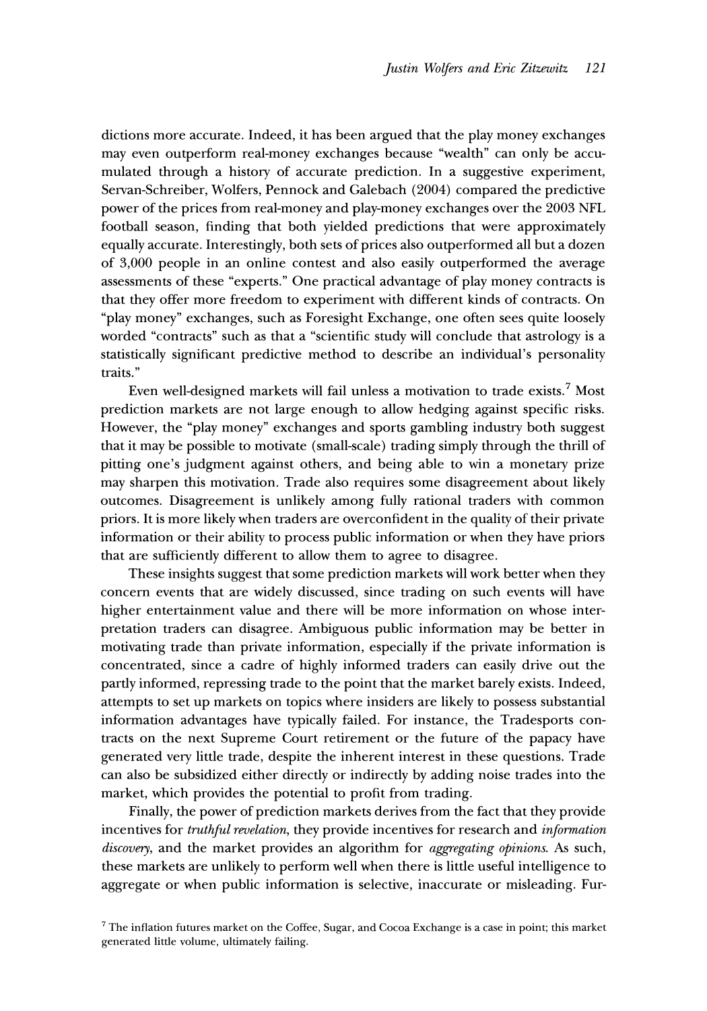dictions more accurate. Indeed, it has been argued that the play money exchanges may even outperform real-money exchanges because "wealth" can only be accumulated through a history of accurate prediction. In a suggestive experiment, Servan-Schreiber, Wolfers, Pennock and Galebach (2004) compared the predictive power of the prices from real-money and play-money exchanges over the 2003 NFL football season, finding that both yielded predictions that were approximately equally accurate. Interestingly, both sets of prices also outperformed all but a dozen of 3,000 people in an online contest and also easily outperformed the average assessments of these "experts." One practical advantage of play money contracts is that they offer more freedom to experiment with different kinds of contracts. On "play money" exchanges, such as Foresight Exchange, one often sees quite loosely worded "contracts" such as that a "scientific study will conclude that astrology is a statistically significant predictive method to describe an individual's personality traits."

Even well-designed markets will fail unless a motivation to trade exists.' Most prediction markets are not large enough to allow hedging against specific risks. However, the "play money" exchanges and sports gambling industry both suggest that it may be possible to motivate (small-scale) trading simply through the thrill of pitting one's judgment against others, and being able to win a monetary prize may sharpen this motivation. Trade also requires some disagreement about likely outcomes. Disagreement is unlikely among fully rational traders with common priors. It is more likely when traders are overconfident in the quality of their private information or their ability to process public information or when they have priors that are sufficiently different to allow them to agree to disagree.

These insights suggest that some prediction markets will work better when they concern events that are widely discussed, since trading on such events will have higher entertainment value and there will be more information on whose interpretation traders can disagree. Ambiguous public information may be better in motivating trade than private information, especially if the private information is concentrated, since a cadre of highly informed traders can easily drive out the partly informed, repressing trade to the point that the market barely exists. Indeed, attempts to set up markets on topics where insiders are likely to possess substantial information advantages have typically failed. For instance, the Tradesports contracts on the next Supreme Court retirement or the future of the papacy have generated very little trade, despite the inherent interest in these questions. Trade can also be subsidized either directly or indirectly by adding noise trades into the market, which provides the potential to profit from trading.

Finally, the power of prediction markets derives from the fact that they provide incentives for *truthful revelation,* they provide incentives for research and *information*  discovery, and the market provides an algorithm for *aggregating opinions*. As such, these markets are unlikely to perform well when there is little useful intelligence to aggregate or when public information is selective, inaccurate or misleading. Fur-

 $^7$  The inflation futures market on the Coffee, Sugar, and Cocoa Exchange is a case in point; this market generated little volume, ultimately failing.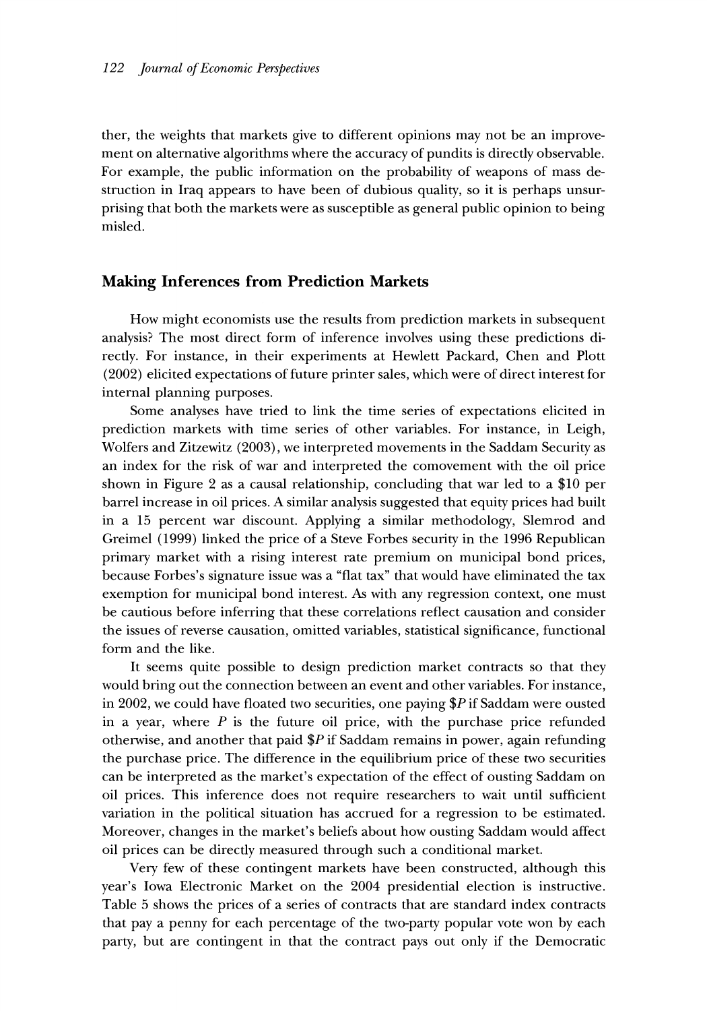ther, the weights that markets give to different opinions may not be an improvement on alternative algorithms where the accuracy of pundits is directly observable. For example, the public information on the probability of weapons of mass destruction in Iraq appears to have been of dubious quality, so it is perhaps unsurprising that both the markets were as susceptible as general public opinion to being misled.

#### **Making Inferences from Prediction Markets**

How might economists use the results from prediction markets in subsequent analysis? The most direct form of inference involves using these predictions directly. For instance, in their experiments at Hewlett Packard, Chen and Plott (2002) elicited expectations of future printer sales, which were of direct interest for internal planning purposes.

Some analyses have tried to link the time series of expectations elicited in prediction markets with time series of other variables. For instance, in Leigh, Wolfers and Zitzewitz (2003), we interpreted movements in the Saddam Security as an index for the risk of war and interpreted the comovement with the oil price shown in Figure 2 as a causal relationship, concluding that war led to a \$10 per barrel increase in oil prices. A similar analysis suggested that equity prices had built in a 13 percent war discount. Applying a similar methodology, Slemrod and Greimel (1999) linked the price of a Steve Forbes security in the 1996 Republican primary market with a rising interest rate premium on municipal bond prices, because Forbes's signature issue was a "flat tax" that would have eliminated the tax exemption for municipal bond interest. As with any regression context, one must be cautious before inferring that these correlations reflect causation and consider the issues of reverse causation, omitted variables, statistical significance, functional form and the like.

It seems quite possible to design prediction market contracts so that they would bring out the connection between an event and other variables. For instance, in 2002, we could have floated two securities, one paying *\$P* if Saddam were ousted in a year, where  $P$  is the future oil price, with the purchase price refunded otherwise, and another that paid *\$P* if Saddam remains in power, again refunding the purchase price. The difference in the equilibrium price of these two securities can be interpreted as the market's expectation of the effect of ousting Saddam on oil prices. This inference does not require researchers to wait until sufficient variation in the political situation has accrued for a regression to be estimated. Moreover, changes in the market's beliefs about how ousting Saddam would affect oil prices can be directly measured through such a conditional market.

Very few of these contingent markets have been constructed, although this year's Iowa Electronic Market on the 2004 presidential election is instructive. Table **3** shows the prices of a series of contracts that are standard index contracts that pay a penny for each percentage of the two-party popular vote won by each party, but are contingent in that the contract pays out only if the Democratic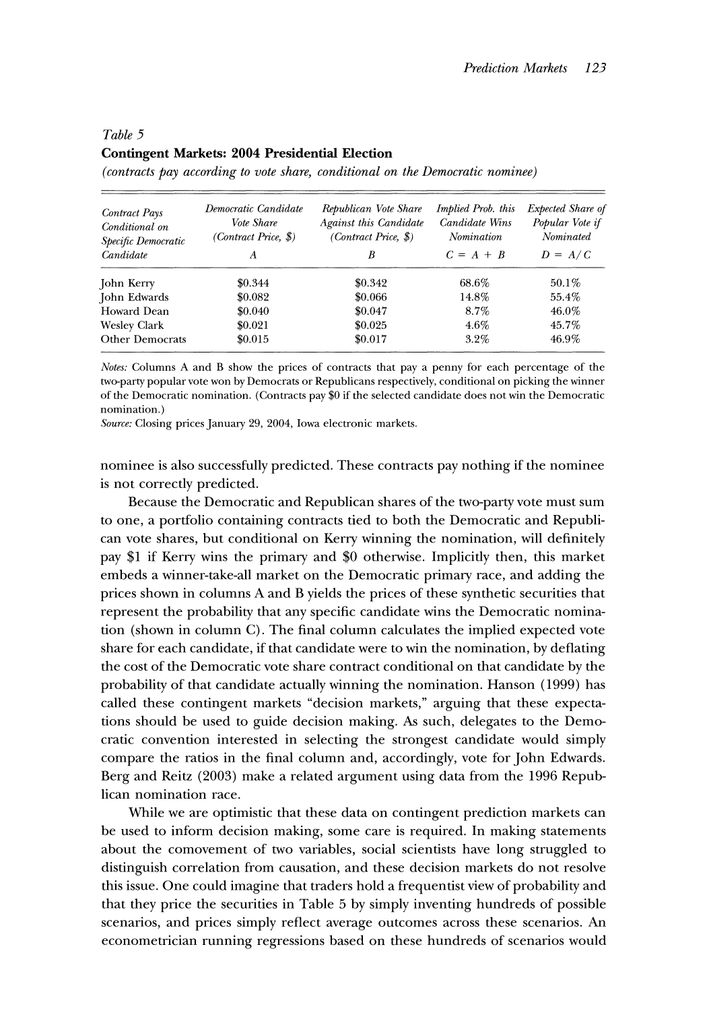## *Table* **5 Contingent Markets: 2004 Presidential Election**

*(contracts pay according to uote share, conditional on the Democratic nominee)* 

| <b>Contract Pays</b><br>Conditional on<br>Specific Democratic | Democratic Candidate<br>Vote Share<br>(Contract Price, \$) | Republican Vote Share<br>Against this Candidate<br>(Contract Price, \$) | Implied Prob. this<br>Candidate Wins<br>Nomination | Expected Share of<br>Popular Vote if<br>Nominated |
|---------------------------------------------------------------|------------------------------------------------------------|-------------------------------------------------------------------------|----------------------------------------------------|---------------------------------------------------|
| Candidate                                                     | А                                                          | В                                                                       | $C = A + B$                                        | $D = A/C$                                         |
| John Kerry                                                    | \$0.344                                                    | \$0.342                                                                 | 68.6%                                              | $50.1\%$                                          |
| John Edwards                                                  | \$0.082                                                    | \$0.066                                                                 | 14.8%                                              | 55.4%                                             |
| Howard Dean                                                   | \$0.040                                                    | \$0.047                                                                 | $8.7\%$                                            | 46.0%                                             |
| <b>Wesley Clark</b>                                           | \$0.021                                                    | \$0.025                                                                 | $4.6\%$                                            | 45.7%                                             |
| <b>Other Democrats</b>                                        | \$0.015                                                    | \$0.017                                                                 | $3.2\%$                                            | 46.9%                                             |

*Notes:* Columns A and B show the prices of contracts that pay a penny for each percentage of the two-party popular vote won by Democrats or Republicans respectively, conditional on picking the winner of the Democratic nomination. (Contracts pay \$0 if the selected candidate does not win the Democratic nomination.)

Source: Closing prices January 29, 2004, Iowa electronic markets.

nominee is also successfully predicted. These contracts pay nothing if the nominee is not correctly predicted.

Because the Democratic and Republican shares of the two-party vote must sum to one, a portfolio containing contracts tied to both the Democratic and Republican vote shares, but conditional on Kerry winning the nomination, will definitely pay \$1 if Kerry wins the primary and \$0 otherwise. Implicitly then, this market embeds a winner-take-all market on the Democratic primary race, and adding the prices shown in columns A and B yields the prices of these synthetic securities that represent the probability that any specific candidate wins the Democratic nomination (shown in column C). The final column calculates the implied expected vote share for each candidate, if that candidate were to win the nomination, by deflating the cost of the Democratic vote share contract conditional on that candidate by the probability of that candidate actually winning the nomination. Hanson (1999) has called these contingent markets "decision markets," arguing that these expectations should be used to guide decision making. As such, delegates to the Democratic convention interested in selecting the strongest candidate would simply compare the ratios in the final column and, accordingly, vote for John Edwards. Berg and Reitz (2003) make a related argument using data from the 1996 Republican nomination race.

While we are optimistic that these data on contingent prediction markets can be used to inform decision making, some care is required. In making statements about the comovement of two variables, social scientists have long struggled to distinguish correlation from causation, and these decision markets do not resolve this issue. One could imagine that traders hold a frequentist view of probability and that they price the securities in Table 5 by simply inventing hundreds of possible scenarios, and prices simply reflect average outcomes across these scenarios. An econometrician running regressions based on these hundreds of scenarios would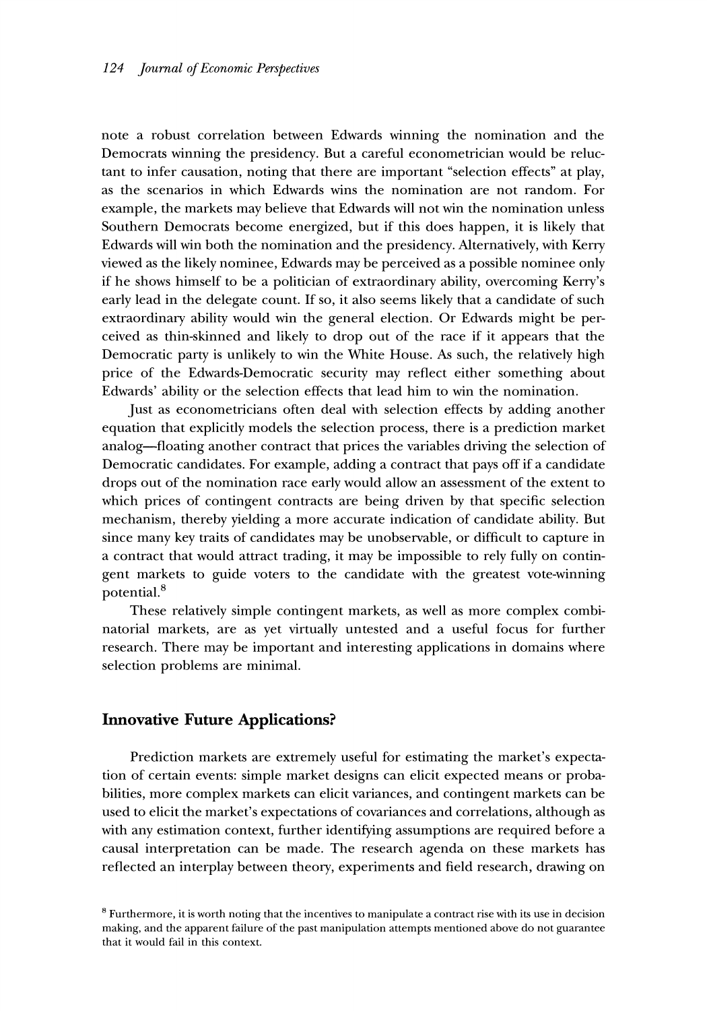note a robust correlation between Edwards winning the nomination and the Democrats winning the presidency. But a careful econometrician would be reluctant to infer causation, noting that there are important "selection effects" at play, as the scenarios in which Edwards wins the nomination are not random. For example, the markets may believe that Edwards will not win the nomination unless Southern Democrats become energized, but if this does happen, it is likely that Edwards will win both the nomination and the presidency. Alternatively, with Kerry viewed as the likely nominee, Edwards may be perceived as a possible nominee only if he shows himself to be a politician of extraordinary ability, overcoming Kerry's early lead in the delegate count. If so, it also seems likely that a candidate of such extraordinary ability would win the general election. Or Edwards might be perceived as thin-skinned and likely to drop out of the race if it appears that the Democratic party is unlikely to win the White House. As such, the relatively high price of the Edwards-Democratic security may reflect either something about Edwards' ability or the selection effects that lead him to win the nomination.

Just as econometricians often deal with selection effects by adding another equation that explicitly models the selection process, there is a prediction market analog-floating another contract that prices the variables driving the selection of Democratic candidates. For example, adding a contract that pays off if a candidate drops out of the nomination race early would allow an assessment of the extent to which prices of contingent contracts are being driven by that specific selection mechanism, thereby yielding a more accurate indication of candidate ability. But since many key traits of candidates may be unobservable, or difficult to capture in a contract that would attract trading, it may be impossible to rely fully on contingent markets to guide voters to the candidate with the greatest vote-winning potential.<sup>8</sup>

These relatively simple contingent markets, as well as more complex combinatorial markets, are as yet virtually untested and a useful focus for further research. There may be important and interesting applications in domains where selection problems are minimal.

#### **Innovative Future Applications?**

Prediction markets are extremely useful for estimating the market's expectation of certain events: simple market designs can elicit expected means or probabilities, more complex markets can elicit variances, and contingent markets can be used to elicit the market's expectations of covariances and correlations, although as with any estimation context, further identifying assumptions are required before a causal interpretation can be made. The research agenda on these markets has reflected an interplay between theory, experiments and field research, drawing on

<sup>&</sup>lt;sup>8</sup> Furthermore, it is worth noting that the incentives to manipulate a contract rise with its use in decision making, and the apparent failure of the past manipulation attempts mentioned above do not guarantee that it would fail in this context.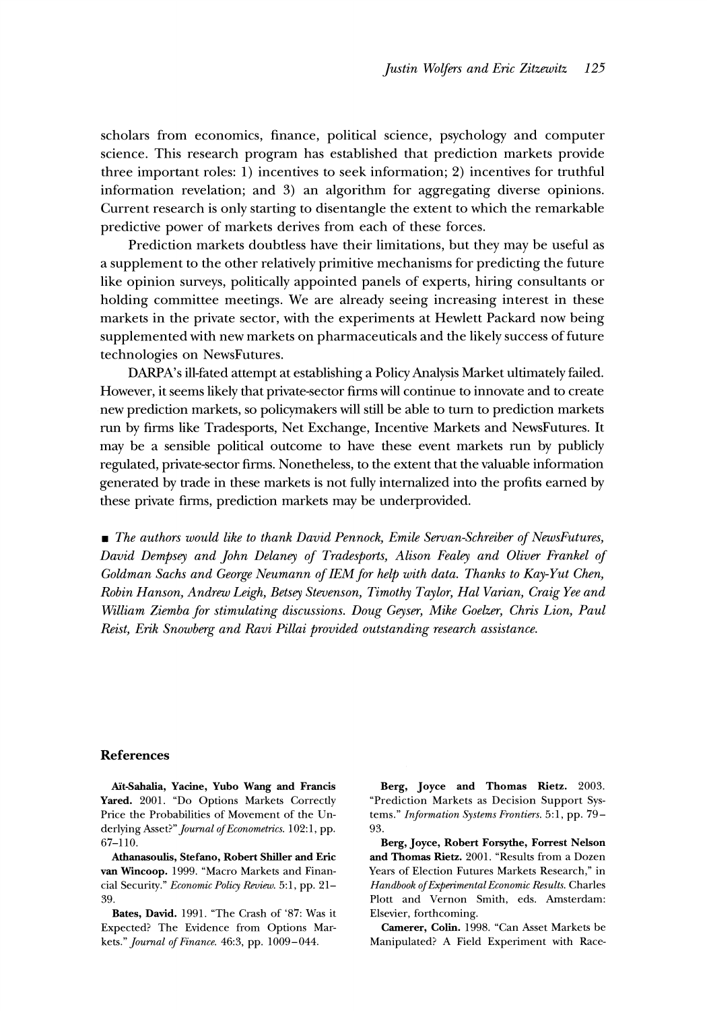scholars from economics, finance, political science, psychology and computer science. This research program has established that prediction markets provide three important roles: 1) incentives to seek information; 2) incentives for truthful information revelation; and **3)** an algorithm for aggregating diverse opinions. Current research is only starting to disentangle the extent to which the remarkable predictive power of markets derives from each of these forces.

Prediction markets doubtless have their limitations, but they may be useful as a supplement to the other relatively primitive mechanisms for predicting the future like opinion surveys, politically appointed panels of experts, hiring consultants or holding committee meetings. We are already seeing increasing interest in these markets in the private sector, with the experiments at Hewlett Packard now being supplemented with new markets on pharmaceuticals and the likely success of future technologies on NewsFutures.

DARPA's ill-fated attempt at establishing a Policy Analysis Market ultimately failed. However, it seems likely that private-sector firms will continue to innovate and to create new prediction markets, so policymakers will still be able to turn to prediction markets run by firms like Tradesports, Net Exchange, Incentive Markets and NewsFutures. It may be a sensible political outcome to have these event markets run by publicly regulated, private-sector firms. Nonetheless, to the extent that the valuable information generated by trade in these markets is not fully internalized into the profits earned by these private firms, prediction markets may be underprovided.

**The authors would like to thank David Pennock, Emile Servan-Schreiber of NewsFutures,** *David Dempsq and John Delanq of Tradesports, Alison Fealq and Oliver Frankel of Goldman Sachs and George Neumann of IEM for help with data. Thanks to Kay-Yut Chen, Robin Hanson, Andrew Leigh, Betsey Stevenson, Timothy Taylor, Hal Varian, Craig Yee and William Ziemba for stimulating discussions. Doug Geyser, Mike Goelzer, Chris Lion, Paul Reist, Erik Snowberg and Ravi Pillai provided outstanding research assistance.* 

#### **References**

**kt-Sahalia, Yacine, Yubo Wang and Francis Yared.** 2001. "Do Options Markets Correctly Price the Probabilities of Movement of the Underlying Asset?" *Journal of Econometrics*. 102:1, pp. 67-110.

**Athanasoulis, Stefano, Robert Shiller and Eric van Wincoop.** 1999. "Macro Markets and Financial Security." *Economic Policy Review.* 5:1, pp. 21- 39.

**Bates, David.** 1991. "The Crash of '87: Was it Expected? The Evidence from Options Markets." *Journal of Finance.* 46:3, pp. 1009-044.

**Berg, Joyce and Thomas Rietz.** 2003. "Prediction Markets as Decision Support Systems." *Information Systems Frontiers.* 5:1, pp. 79- 93.

**Berg, Joyce, Robert Forsythe, Forrest Nelson and Thomas Rietz.** 2001. "Results from a Dozen Years of Election Futures Markets Research," in *Handbook ofExperimrntalEconomic Results.* Charles Plott and \'ernon Smith, eds. Amsterdam: Elsevier, forthcoming.

Camerer, Colin. 1998. "Can Asset Markets be Manipulated? A Field Experiment with Race